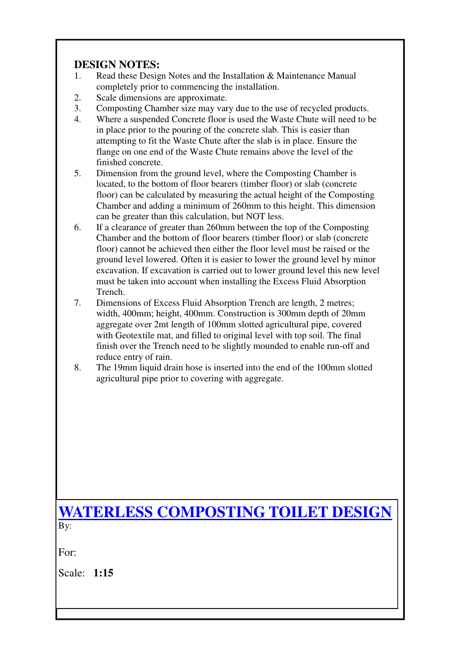## **DESIGN NOTES:**

- 1. Read these Design Notes and the Installation & Maintenance Manual completely prior to commencing the installation.
- 2. Scale dimensions are approximate.
- 3. Composting Chamber size may vary due to the use of recycled products.
- 4. Where a suspended Concrete floor is used the Waste Chute will need to be in place prior to the pouring of the concrete slab. This is easier than attempting to fit the Waste Chute after the slab is in place. Ensure the flange on one end of the Waste Chute remains above the level of the finished concrete.
- 5. Dimension from the ground level, where the Composting Chamber is located, to the bottom of floor bearers (timber floor) or slab (concrete floor) can be calculated by measuring the actual height of the Composting Chamber and adding a minimum of 260mm to this height. This dimension can be greater than this calculation, but NOT less.
- 6. If a clearance of greater than 260mm between the top of the Composting Chamber and the bottom of floor bearers (timber floor) or slab (concrete floor) cannot be achieved then either the floor level must be raised or the ground level lowered. Often it is easier to lower the ground level by minor excavation. If excavation is carried out to lower ground level this new level must be taken into account when installing the Excess Fluid Absorption Trench.
- 7. Dimensions of Excess Fluid Absorption Trench are length, 2 metres; width, 400mm; height, 400mm. Construction is 300mm depth of 20mm aggregate over 2mt length of 100mm slotted agricultural pipe, covered with Geotextile mat, and filled to original level with top soil. The final finish over the Trench need to be slightly mounded to enable run-off and reduce entry of rain.
- 8. The 19mm liquid drain hose is inserted into the end of the 100mm slotted agricultural pipe prior to covering with aggregate.

## **WATERLESS COMPOSTING TOILET DESIGN** B<sub>v</sub>:

For:

Scale: **1:15**